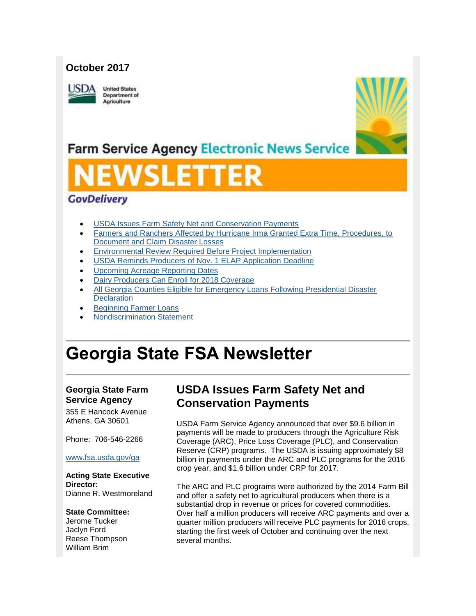## **October 2017**



**United States** Department of Agriculture



## **Farm Service Agency Electronic News Service**

# VSLET

## **GovDelivery**

- [USDA Issues Farm Safety Net and Conservation Payments](#page-0-0)
- [Farmers and Ranchers Affected by Hurricane Irma Granted Extra Time, Procedures, to](#page-1-0)  [Document and Claim Disaster Losses](#page-1-0)
- [Environmental Review Required Before Project Implementation](#page-2-0)
- [USDA Reminds Producers of Nov. 1 ELAP Application Deadline](#page-3-0)
- [Upcoming Acreage Reporting Dates](#page-3-1)
- [Dairy Producers Can Enroll for 2018 Coverage](#page-4-0)
- [All Georgia Counties Eligible for Emergency Loans Following Presidential Disaster](#page-5-0)  **[Declaration](#page-5-0)**
- [Beginning Farmer Loans](#page-5-1)
- [Nondiscrimination Statement](#page-6-0)

## **Georgia State FSA Newsletter**

#### **Georgia State Farm Service Agency**

355 E Hancock Avenue Athens, GA 30601

## Phone: 706-546-2266

#### [www.fsa.usda.gov/ga](http://www.fsa.usda.gov/ga)

**Acting State Executive Director:** Dianne R. Westmoreland

#### **State Committee:**

Jerome Tucker Jaclyn Ford Reese Thompson William Brim

## <span id="page-0-0"></span>**USDA Issues Farm Safety Net and Conservation Payments**

USDA Farm Service Agency announced that over \$9.6 billion in payments will be made to producers through the Agriculture Risk Coverage (ARC), Price Loss Coverage (PLC), and Conservation Reserve (CRP) programs. The USDA is issuing approximately \$8 billion in payments under the ARC and PLC programs for the 2016 crop year, and \$1.6 billion under CRP for 2017.

The ARC and PLC programs were authorized by the 2014 Farm Bill and offer a safety net to agricultural producers when there is a substantial drop in revenue or prices for covered commodities. Over half a million producers will receive ARC payments and over a quarter million producers will receive PLC payments for 2016 crops, starting the first week of October and continuing over the next several months.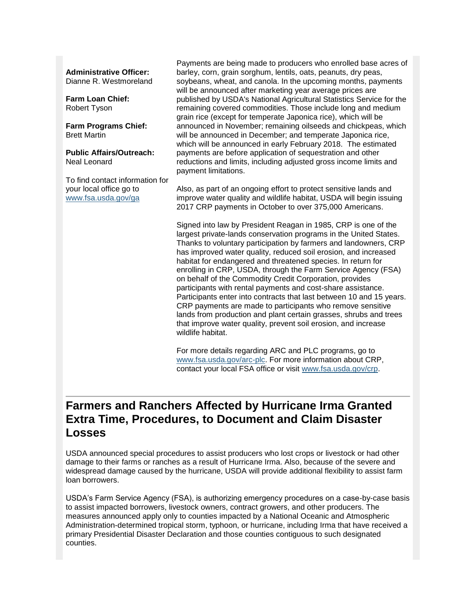#### **Administrative Officer:**

Dianne R. Westmoreland

**Farm Loan Chief:** Robert Tyson

**Farm Programs Chief:** Brett Martin

**Public Affairs/Outreach:** Neal Leonard

To find contact information for your local office go to [www.fsa.usda.gov/ga](http://www.fsa.usda.gov/ga)

Payments are being made to producers who enrolled base acres of barley, corn, grain sorghum, lentils, oats, peanuts, dry peas, soybeans, wheat, and canola. In the upcoming months, payments will be announced after marketing year average prices are published by USDA's National Agricultural Statistics Service for the remaining covered commodities. Those include long and medium grain rice (except for temperate Japonica rice), which will be announced in November; remaining oilseeds and chickpeas, which will be announced in December; and temperate Japonica rice, which will be announced in early February 2018. The estimated payments are before application of sequestration and other reductions and limits, including adjusted gross income limits and payment limitations.

Also, as part of an ongoing effort to protect sensitive lands and improve water quality and wildlife habitat, USDA will begin issuing 2017 CRP payments in October to over 375,000 Americans.

Signed into law by President Reagan in 1985, CRP is one of the largest private-lands conservation programs in the United States. Thanks to voluntary participation by farmers and landowners, CRP has improved water quality, reduced soil erosion, and increased habitat for endangered and threatened species. In return for enrolling in CRP, USDA, through the Farm Service Agency (FSA) on behalf of the Commodity Credit Corporation, provides participants with rental payments and cost-share assistance. Participants enter into contracts that last between 10 and 15 years. CRP payments are made to participants who remove sensitive lands from production and plant certain grasses, shrubs and trees that improve water quality, prevent soil erosion, and increase wildlife habitat.

For more details regarding ARC and PLC programs, go to [www.fsa.usda.gov/arc-plc.](https://www.fsa.usda.gov/arc-plc) For more information about CRP, contact your local FSA office or visit [www.fsa.usda.gov/crp.](https://www.fsa.usda.gov/crp)

## <span id="page-1-0"></span>**Farmers and Ranchers Affected by Hurricane Irma Granted Extra Time, Procedures, to Document and Claim Disaster Losses**

USDA announced special procedures to assist producers who lost crops or livestock or had other damage to their farms or ranches as a result of Hurricane Irma. Also, because of the severe and widespread damage caused by the hurricane, USDA will provide additional flexibility to assist farm loan borrowers.

USDA's Farm Service Agency (FSA), is authorizing emergency procedures on a case-by-case basis to assist impacted borrowers, livestock owners, contract growers, and other producers. The measures announced apply only to counties impacted by a National Oceanic and Atmospheric Administration-determined tropical storm, typhoon, or hurricane, including Irma that have received a primary Presidential Disaster Declaration and those counties contiguous to such designated counties.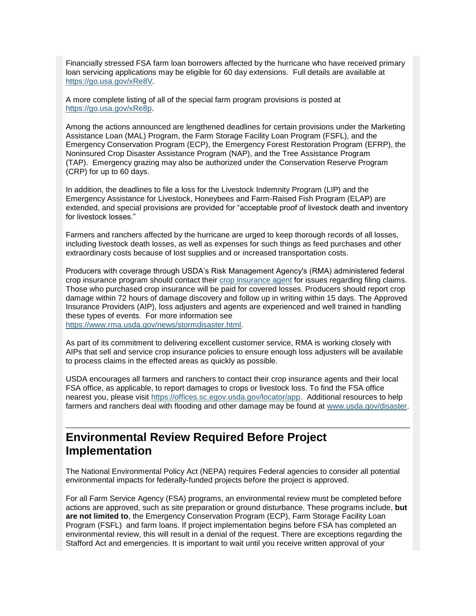Financially stressed FSA farm loan borrowers affected by the hurricane who have received primary loan servicing applications may be eligible for 60 day extensions. Full details are available at [https://go.usa.gov/xRe8V.](http://links.govdelivery.com/track?type=click&enid=ZWFzPTEmbWFpbGluZ2lkPTIwMTcwOTEzLjc4MTAxODgxJm1lc3NhZ2VpZD1NREItUFJELUJVTC0yMDE3MDkxMy43ODEwMTg4MSZkYXRhYmFzZWlkPTEwMDEmc2VyaWFsPTE3ODk4NDgxJmVtYWlsaWQ9Y2Fzc2llLmJhYmxlQHR4LnVzZGEuZ292JnVzZXJpZD1jYXNzaWUuYmFibGVAdHgudXNkYS5nb3YmZmw9JmV4dHJhPU11bHRpdmFyaWF0ZUlkPSYmJg==&&&101&&&https://go.usa.gov/xRe8V)

A more complete listing of all of the special farm program provisions is posted at [https://go.usa.gov/xRe8p.](http://links.govdelivery.com/track?type=click&enid=ZWFzPTEmbWFpbGluZ2lkPTIwMTcwOTEzLjc4MTAxODgxJm1lc3NhZ2VpZD1NREItUFJELUJVTC0yMDE3MDkxMy43ODEwMTg4MSZkYXRhYmFzZWlkPTEwMDEmc2VyaWFsPTE3ODk4NDgxJmVtYWlsaWQ9Y2Fzc2llLmJhYmxlQHR4LnVzZGEuZ292JnVzZXJpZD1jYXNzaWUuYmFibGVAdHgudXNkYS5nb3YmZmw9JmV4dHJhPU11bHRpdmFyaWF0ZUlkPSYmJg==&&&102&&&https://go.usa.gov/xRe8p)

Among the actions announced are lengthened deadlines for certain provisions under the Marketing Assistance Loan (MAL) Program, the Farm Storage Facility Loan Program (FSFL), and the Emergency Conservation Program (ECP), the Emergency Forest Restoration Program (EFRP), the Noninsured Crop Disaster Assistance Program (NAP), and the Tree Assistance Program (TAP). Emergency grazing may also be authorized under the Conservation Reserve Program (CRP) for up to 60 days.

In addition, the deadlines to file a loss for the Livestock Indemnity Program (LIP) and the Emergency Assistance for Livestock, Honeybees and Farm-Raised Fish Program (ELAP) are extended, and special provisions are provided for "acceptable proof of livestock death and inventory for livestock losses."

Farmers and ranchers affected by the hurricane are urged to keep thorough records of all losses, including livestock death losses, as well as expenses for such things as feed purchases and other extraordinary costs because of lost supplies and or increased transportation costs.

Producers with coverage through USDA's Risk Management Agency's (RMA) administered federal crop insurance program should contact their [crop insurance agent](http://links.govdelivery.com/track?type=click&enid=ZWFzPTEmbWFpbGluZ2lkPTIwMTcwOTEzLjc4MTAxODgxJm1lc3NhZ2VpZD1NREItUFJELUJVTC0yMDE3MDkxMy43ODEwMTg4MSZkYXRhYmFzZWlkPTEwMDEmc2VyaWFsPTE3ODk4NDgxJmVtYWlsaWQ9Y2Fzc2llLmJhYmxlQHR4LnVzZGEuZ292JnVzZXJpZD1jYXNzaWUuYmFibGVAdHgudXNkYS5nb3YmZmw9JmV4dHJhPU11bHRpdmFyaWF0ZUlkPSYmJg==&&&103&&&https://prodwebnlb.rma.usda.gov/apps/AgentLocator/#/) for issues regarding filing claims. Those who purchased crop insurance will be paid for covered losses. Producers should report crop damage within 72 hours of damage discovery and follow up in writing within 15 days. The Approved Insurance Providers (AIP), loss adjusters and agents are experienced and well trained in handling these types of events. For more information see [https://www.rma.usda.gov/news/stormdisaster.html.](http://links.govdelivery.com/track?type=click&enid=ZWFzPTEmbWFpbGluZ2lkPTIwMTcwOTEzLjc4MTAxODgxJm1lc3NhZ2VpZD1NREItUFJELUJVTC0yMDE3MDkxMy43ODEwMTg4MSZkYXRhYmFzZWlkPTEwMDEmc2VyaWFsPTE3ODk4NDgxJmVtYWlsaWQ9Y2Fzc2llLmJhYmxlQHR4LnVzZGEuZ292JnVzZXJpZD1jYXNzaWUuYmFibGVAdHgudXNkYS5nb3YmZmw9JmV4dHJhPU11bHRpdmFyaWF0ZUlkPSYmJg==&&&104&&&https://www.rma.usda.gov/news/stormdisaster.html)

As part of its commitment to delivering excellent customer service, RMA is working closely with AIPs that sell and service crop insurance policies to ensure enough loss adjusters will be available to process claims in the effected areas as quickly as possible.

USDA encourages all farmers and ranchers to contact their crop insurance agents and their local FSA office, as applicable, to report damages to crops or livestock loss. To find the FSA office nearest you, please visit [https://offices.sc.egov.usda.gov/locator/app.](http://links.govdelivery.com/track?type=click&enid=ZWFzPTEmbWFpbGluZ2lkPTIwMTcwOTEzLjc4MTAxODgxJm1lc3NhZ2VpZD1NREItUFJELUJVTC0yMDE3MDkxMy43ODEwMTg4MSZkYXRhYmFzZWlkPTEwMDEmc2VyaWFsPTE3ODk4NDgxJmVtYWlsaWQ9Y2Fzc2llLmJhYmxlQHR4LnVzZGEuZ292JnVzZXJpZD1jYXNzaWUuYmFibGVAdHgudXNkYS5nb3YmZmw9JmV4dHJhPU11bHRpdmFyaWF0ZUlkPSYmJg==&&&105&&&https://offices.sc.egov.usda.gov/locator/app) Additional resources to help farmers and ranchers deal with flooding and other damage may be found at [www.usda.gov/disaster.](http://links.govdelivery.com/track?type=click&enid=ZWFzPTEmbWFpbGluZ2lkPTIwMTcwOTEzLjc4MTAxODgxJm1lc3NhZ2VpZD1NREItUFJELUJVTC0yMDE3MDkxMy43ODEwMTg4MSZkYXRhYmFzZWlkPTEwMDEmc2VyaWFsPTE3ODk4NDgxJmVtYWlsaWQ9Y2Fzc2llLmJhYmxlQHR4LnVzZGEuZ292JnVzZXJpZD1jYXNzaWUuYmFibGVAdHgudXNkYS5nb3YmZmw9JmV4dHJhPU11bHRpdmFyaWF0ZUlkPSYmJg==&&&106&&&https://www.usda.gov/disaster)

## <span id="page-2-0"></span>**Environmental Review Required Before Project Implementation**

The National Environmental Policy Act (NEPA) requires Federal agencies to consider all potential environmental impacts for federally-funded projects before the project is approved.

For all Farm Service Agency (FSA) programs, an environmental review must be completed before actions are approved, such as site preparation or ground disturbance. These programs include, **but are not limited to**, the Emergency Conservation Program (ECP), Farm Storage Facility Loan Program (FSFL) and farm loans. If project implementation begins before FSA has completed an environmental review, this will result in a denial of the request. There are exceptions regarding the Stafford Act and emergencies. It is important to wait until you receive written approval of your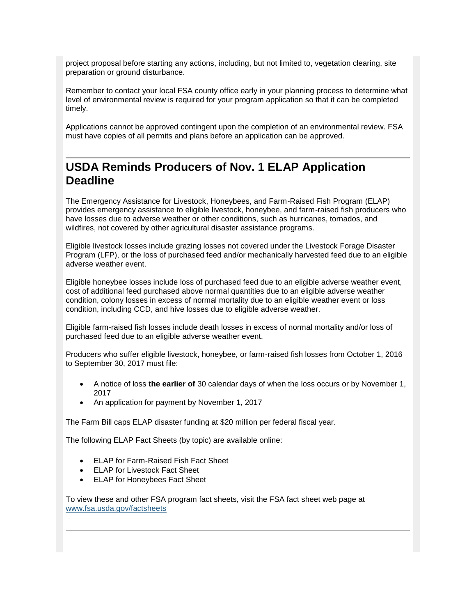project proposal before starting any actions, including, but not limited to, vegetation clearing, site preparation or ground disturbance.

Remember to contact your local FSA county office early in your planning process to determine what level of environmental review is required for your program application so that it can be completed timely.

Applications cannot be approved contingent upon the completion of an environmental review. FSA must have copies of all permits and plans before an application can be approved.

## <span id="page-3-0"></span>**USDA Reminds Producers of Nov. 1 ELAP Application Deadline**

The Emergency Assistance for Livestock, Honeybees, and Farm-Raised Fish Program (ELAP) provides emergency assistance to eligible livestock, honeybee, and farm-raised fish producers who have losses due to adverse weather or other conditions, such as hurricanes, tornados, and wildfires, not covered by other agricultural disaster assistance programs.

Eligible livestock losses include grazing losses not covered under the Livestock Forage Disaster Program (LFP), or the loss of purchased feed and/or mechanically harvested feed due to an eligible adverse weather event.

Eligible honeybee losses include loss of purchased feed due to an eligible adverse weather event, cost of additional feed purchased above normal quantities due to an eligible adverse weather condition, colony losses in excess of normal mortality due to an eligible weather event or loss condition, including CCD, and hive losses due to eligible adverse weather.

Eligible farm-raised fish losses include death losses in excess of normal mortality and/or loss of purchased feed due to an eligible adverse weather event.

Producers who suffer eligible livestock, honeybee, or farm-raised fish losses from October 1, 2016 to September 30, 2017 must file:

- A notice of loss **the earlier of** 30 calendar days of when the loss occurs or by November 1, 2017
- An application for payment by November 1, 2017

The Farm Bill caps ELAP disaster funding at \$20 million per federal fiscal year.

The following ELAP Fact Sheets (by topic) are available online:

- ELAP for Farm-Raised Fish Fact Sheet
- ELAP for Livestock Fact Sheet
- ELAP for Honeybees Fact Sheet

<span id="page-3-1"></span>To view these and other FSA program fact sheets, visit the FSA fact sheet web page at [www.fsa.usda.gov/factsheets](http://www.fsa.usda.gov/factsheets)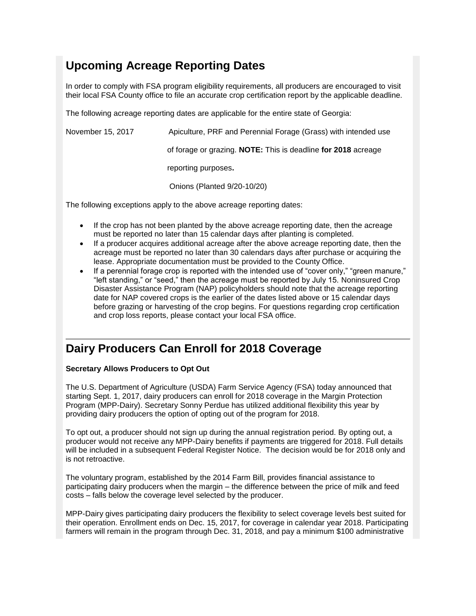## **Upcoming Acreage Reporting Dates**

In order to comply with FSA program eligibility requirements, all producers are encouraged to visit their local FSA County office to file an accurate crop certification report by the applicable deadline.

The following acreage reporting dates are applicable for the entire state of Georgia:

| November 15, 2017 | Apiculture, PRF and Perennial Forage (Grass) with intended use |
|-------------------|----------------------------------------------------------------|
|                   | of forage or grazing. NOTE: This is deadline for 2018 acreage  |
|                   | reporting purposes.                                            |
|                   | Onions (Planted 9/20-10/20)                                    |
|                   |                                                                |

The following exceptions apply to the above acreage reporting dates:

- If the crop has not been planted by the above acreage reporting date, then the acreage must be reported no later than 15 calendar days after planting is completed.
- If a producer acquires additional acreage after the above acreage reporting date, then the acreage must be reported no later than 30 calendars days after purchase or acquiring the lease. Appropriate documentation must be provided to the County Office.
- If a perennial forage crop is reported with the intended use of "cover only," "green manure," "left standing," or "seed," then the acreage must be reported by July 15. Noninsured Crop Disaster Assistance Program (NAP) policyholders should note that the acreage reporting date for NAP covered crops is the earlier of the dates listed above or 15 calendar days before grazing or harvesting of the crop begins. For questions regarding crop certification and crop loss reports, please contact your local FSA office.

## <span id="page-4-0"></span>**Dairy Producers Can Enroll for 2018 Coverage**

#### **Secretary Allows Producers to Opt Out**

The U.S. Department of Agriculture (USDA) Farm Service Agency (FSA) today announced that starting Sept. 1, 2017, dairy producers can enroll for 2018 coverage in the Margin Protection Program (MPP-Dairy). Secretary Sonny Perdue has utilized additional flexibility this year by providing dairy producers the option of opting out of the program for 2018.

To opt out, a producer should not sign up during the annual registration period. By opting out, a producer would not receive any MPP-Dairy benefits if payments are triggered for 2018. Full details will be included in a subsequent Federal Register Notice. The decision would be for 2018 only and is not retroactive.

The voluntary program, established by the 2014 Farm Bill, provides financial assistance to participating dairy producers when the margin – the difference between the price of milk and feed costs – falls below the coverage level selected by the producer.

MPP-Dairy gives participating dairy producers the flexibility to select coverage levels best suited for their operation. Enrollment ends on Dec. 15, 2017, for coverage in calendar year 2018. Participating farmers will remain in the program through Dec. 31, 2018, and pay a minimum \$100 administrative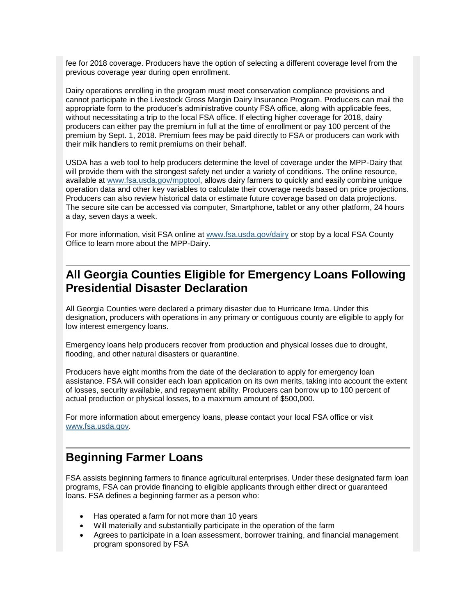fee for 2018 coverage. Producers have the option of selecting a different coverage level from the previous coverage year during open enrollment.

Dairy operations enrolling in the program must meet conservation compliance provisions and cannot participate in the Livestock Gross Margin Dairy Insurance Program. Producers can mail the appropriate form to the producer's administrative county FSA office, along with applicable fees, without necessitating a trip to the local FSA office. If electing higher coverage for 2018, dairy producers can either pay the premium in full at the time of enrollment or pay 100 percent of the premium by Sept. 1, 2018. Premium fees may be paid directly to FSA or producers can work with their milk handlers to remit premiums on their behalf.

USDA has a web tool to help producers determine the level of coverage under the MPP-Dairy that will provide them with the strongest safety net under a variety of conditions. The online resource, available at [www.fsa.usda.gov/mpptool,](http://www.fsa.usda.gov/mpptool) allows dairy farmers to quickly and easily combine unique operation data and other key variables to calculate their coverage needs based on price projections. Producers can also review historical data or estimate future coverage based on data projections. The secure site can be accessed via computer, Smartphone, tablet or any other platform, 24 hours a day, seven days a week.

For more information, visit FSA online at [www.fsa.usda.gov/dairy](http://www.fsa.usda.gov/dairy) or stop by a local FSA County Office to learn more about the MPP-Dairy.

## <span id="page-5-0"></span>**All Georgia Counties Eligible for Emergency Loans Following Presidential Disaster Declaration**

All Georgia Counties were declared a primary disaster due to Hurricane Irma. Under this designation, producers with operations in any primary or contiguous county are eligible to apply for low interest emergency loans.

Emergency loans help producers recover from production and physical losses due to drought, flooding, and other natural disasters or quarantine.

Producers have eight months from the date of the declaration to apply for emergency loan assistance. FSA will consider each loan application on its own merits, taking into account the extent of losses, security available, and repayment ability. Producers can borrow up to 100 percent of actual production or physical losses, to a maximum amount of \$500,000.

For more information about emergency loans, please contact your local FSA office or visit [www.fsa.usda.gov.](http://www.fsa.usda.gov/)

### <span id="page-5-1"></span>**Beginning Farmer Loans**

FSA assists beginning farmers to finance agricultural enterprises. Under these designated farm loan programs, FSA can provide financing to eligible applicants through either direct or guaranteed loans. FSA defines a beginning farmer as a person who:

- Has operated a farm for not more than 10 years
- Will materially and substantially participate in the operation of the farm
- Agrees to participate in a loan assessment, borrower training, and financial management program sponsored by FSA